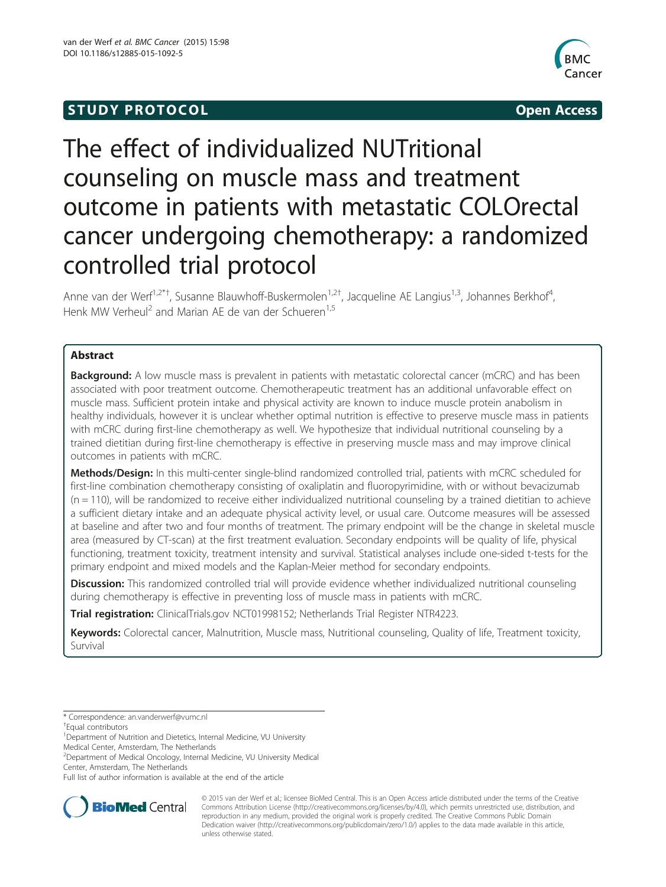# **STUDY PROTOCOL CONSUMING THE STUDY PROTOCOL**



# The effect of individualized NUTritional counseling on muscle mass and treatment outcome in patients with metastatic COLOrectal cancer undergoing chemotherapy: a randomized controlled trial protocol

Anne van der Werf<sup>1,2\*†</sup>, Susanne Blauwhoff-Buskermolen<sup>1,2†</sup>, Jacqueline AE Langius<sup>1,3</sup>, Johannes Berkhof<sup>4</sup> , Henk MW Verheul<sup>2</sup> and Marian AE de van der Schueren<sup>1,5</sup>

# Abstract

**Background:** A low muscle mass is prevalent in patients with metastatic colorectal cancer (mCRC) and has been associated with poor treatment outcome. Chemotherapeutic treatment has an additional unfavorable effect on muscle mass. Sufficient protein intake and physical activity are known to induce muscle protein anabolism in healthy individuals, however it is unclear whether optimal nutrition is effective to preserve muscle mass in patients with mCRC during first-line chemotherapy as well. We hypothesize that individual nutritional counseling by a trained dietitian during first-line chemotherapy is effective in preserving muscle mass and may improve clinical outcomes in patients with mCRC.

Methods/Design: In this multi-center single-blind randomized controlled trial, patients with mCRC scheduled for first-line combination chemotherapy consisting of oxaliplatin and fluoropyrimidine, with or without bevacizumab  $(n = 110)$ , will be randomized to receive either individualized nutritional counseling by a trained dietitian to achieve a sufficient dietary intake and an adequate physical activity level, or usual care. Outcome measures will be assessed at baseline and after two and four months of treatment. The primary endpoint will be the change in skeletal muscle area (measured by CT-scan) at the first treatment evaluation. Secondary endpoints will be quality of life, physical functioning, treatment toxicity, treatment intensity and survival. Statistical analyses include one-sided t-tests for the primary endpoint and mixed models and the Kaplan-Meier method for secondary endpoints.

Discussion: This randomized controlled trial will provide evidence whether individualized nutritional counseling during chemotherapy is effective in preventing loss of muscle mass in patients with mCRC.

**Trial registration:** ClinicalTrials.gov [NCT01998152](https://clinicaltrials.gov/ct2/show/NCT01998152); Netherlands Trial Register [NTR4223](http://www.trialregister.nl/trialreg/admin/rctview.asp?TC=4223).

Keywords: Colorectal cancer, Malnutrition, Muscle mass, Nutritional counseling, Quality of life, Treatment toxicity, Survival

Medical Center, Amsterdam, The Netherlands

<sup>2</sup>Department of Medical Oncology, Internal Medicine, VU University Medical Center, Amsterdam, The Netherlands

Full list of author information is available at the end of the article



© 2015 van der Werf et al.; licensee BioMed Central. This is an Open Access article distributed under the terms of the Creative Commons Attribution License [\(http://creativecommons.org/licenses/by/4.0\)](http://creativecommons.org/licenses/by/4.0), which permits unrestricted use, distribution, and reproduction in any medium, provided the original work is properly credited. The Creative Commons Public Domain Dedication waiver [\(http://creativecommons.org/publicdomain/zero/1.0/](http://creativecommons.org/publicdomain/zero/1.0/)) applies to the data made available in this article, unless otherwise stated.

<sup>\*</sup> Correspondence: [an.vanderwerf@vumc.nl](mailto:an.vanderwerf@vumc.nl) †

<sup>&</sup>lt;sup>+</sup>Equal contributors

<sup>&</sup>lt;sup>1</sup> Department of Nutrition and Dietetics, Internal Medicine, VU University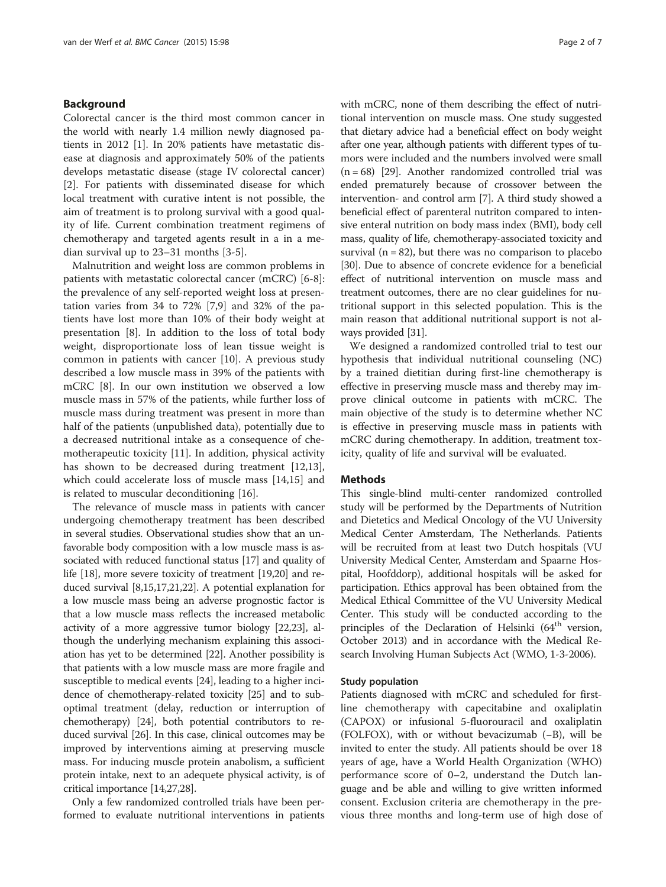## Background

Colorectal cancer is the third most common cancer in the world with nearly 1.4 million newly diagnosed patients in 2012 [\[1](#page-5-0)]. In 20% patients have metastatic disease at diagnosis and approximately 50% of the patients develops metastatic disease (stage IV colorectal cancer) [[2\]](#page-5-0). For patients with disseminated disease for which local treatment with curative intent is not possible, the aim of treatment is to prolong survival with a good quality of life. Current combination treatment regimens of chemotherapy and targeted agents result in a in a median survival up to 23–31 months [\[3-5](#page-5-0)].

Malnutrition and weight loss are common problems in patients with metastatic colorectal cancer (mCRC) [[6-8](#page-5-0)]: the prevalence of any self-reported weight loss at presentation varies from 34 to 72% [[7,9\]](#page-5-0) and 32% of the patients have lost more than 10% of their body weight at presentation [[8](#page-5-0)]. In addition to the loss of total body weight, disproportionate loss of lean tissue weight is common in patients with cancer [\[10](#page-5-0)]. A previous study described a low muscle mass in 39% of the patients with mCRC [\[8](#page-5-0)]. In our own institution we observed a low muscle mass in 57% of the patients, while further loss of muscle mass during treatment was present in more than half of the patients (unpublished data), potentially due to a decreased nutritional intake as a consequence of chemotherapeutic toxicity [[11\]](#page-5-0). In addition, physical activity has shown to be decreased during treatment [\[12](#page-5-0)[,13](#page-6-0)], which could accelerate loss of muscle mass [[14](#page-6-0),[15](#page-6-0)] and is related to muscular deconditioning [\[16\]](#page-6-0).

The relevance of muscle mass in patients with cancer undergoing chemotherapy treatment has been described in several studies. Observational studies show that an unfavorable body composition with a low muscle mass is associated with reduced functional status [\[17](#page-6-0)] and quality of life [[18\]](#page-6-0), more severe toxicity of treatment [[19,20\]](#page-6-0) and reduced survival [\[8](#page-5-0)[,15,17,21,22\]](#page-6-0). A potential explanation for a low muscle mass being an adverse prognostic factor is that a low muscle mass reflects the increased metabolic activity of a more aggressive tumor biology [\[22,23](#page-6-0)], although the underlying mechanism explaining this association has yet to be determined [\[22\]](#page-6-0). Another possibility is that patients with a low muscle mass are more fragile and susceptible to medical events [\[24\]](#page-6-0), leading to a higher incidence of chemotherapy-related toxicity [[25](#page-6-0)] and to suboptimal treatment (delay, reduction or interruption of chemotherapy) [\[24\]](#page-6-0), both potential contributors to reduced survival [[26](#page-6-0)]. In this case, clinical outcomes may be improved by interventions aiming at preserving muscle mass. For inducing muscle protein anabolism, a sufficient protein intake, next to an adequete physical activity, is of critical importance [\[14,27,28](#page-6-0)].

Only a few randomized controlled trials have been performed to evaluate nutritional interventions in patients with mCRC, none of them describing the effect of nutritional intervention on muscle mass. One study suggested that dietary advice had a beneficial effect on body weight after one year, although patients with different types of tumors were included and the numbers involved were small  $(n = 68)$  [[29\]](#page-6-0). Another randomized controlled trial was ended prematurely because of crossover between the intervention- and control arm [[7](#page-5-0)]. A third study showed a beneficial effect of parenteral nutriton compared to intensive enteral nutrition on body mass index (BMI), body cell mass, quality of life, chemotherapy-associated toxicity and survival  $(n = 82)$ , but there was no comparison to placebo [[30](#page-6-0)]. Due to absence of concrete evidence for a beneficial effect of nutritional intervention on muscle mass and treatment outcomes, there are no clear guidelines for nutritional support in this selected population. This is the main reason that additional nutritional support is not always provided [\[31\]](#page-6-0).

We designed a randomized controlled trial to test our hypothesis that individual nutritional counseling (NC) by a trained dietitian during first-line chemotherapy is effective in preserving muscle mass and thereby may improve clinical outcome in patients with mCRC. The main objective of the study is to determine whether NC is effective in preserving muscle mass in patients with mCRC during chemotherapy. In addition, treatment toxicity, quality of life and survival will be evaluated.

## **Methods**

This single-blind multi-center randomized controlled study will be performed by the Departments of Nutrition and Dietetics and Medical Oncology of the VU University Medical Center Amsterdam, The Netherlands. Patients will be recruited from at least two Dutch hospitals (VU University Medical Center, Amsterdam and Spaarne Hospital, Hoofddorp), additional hospitals will be asked for participation. Ethics approval has been obtained from the Medical Ethical Committee of the VU University Medical Center. This study will be conducted according to the principles of the Declaration of Helsinki (64<sup>th</sup> version, October 2013) and in accordance with the Medical Research Involving Human Subjects Act (WMO, 1-3-2006).

#### Study population

Patients diagnosed with mCRC and scheduled for firstline chemotherapy with capecitabine and oxaliplatin (CAPOX) or infusional 5-fluorouracil and oxaliplatin (FOLFOX), with or without bevacizumab (−B), will be invited to enter the study. All patients should be over 18 years of age, have a World Health Organization (WHO) performance score of 0–2, understand the Dutch language and be able and willing to give written informed consent. Exclusion criteria are chemotherapy in the previous three months and long-term use of high dose of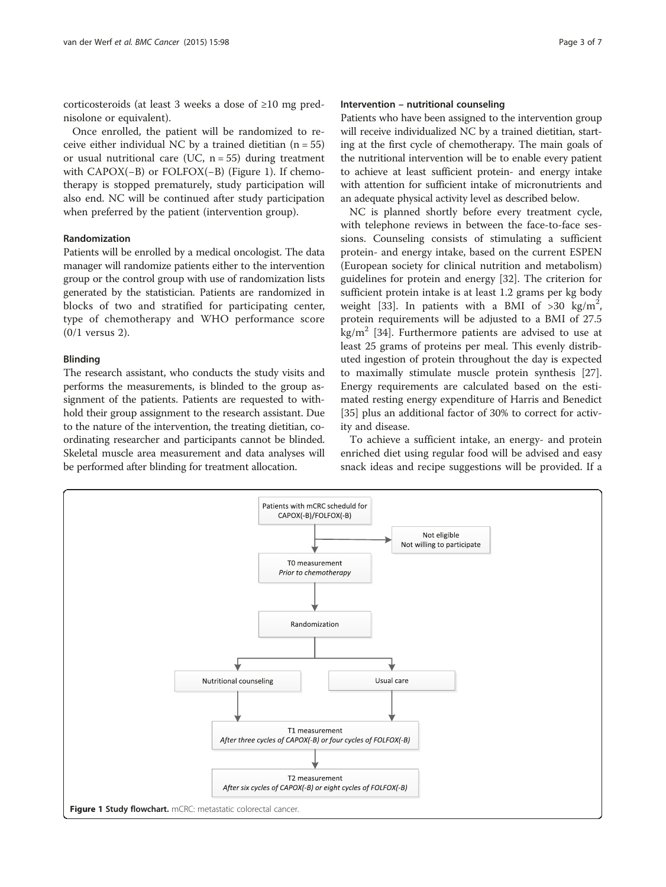<span id="page-2-0"></span>corticosteroids (at least 3 weeks a dose of ≥10 mg prednisolone or equivalent).

Once enrolled, the patient will be randomized to receive either individual NC by a trained dietitian  $(n = 55)$ or usual nutritional care (UC,  $n = 55$ ) during treatment with CAPOX(−B) or FOLFOX(−B) (Figure 1). If chemotherapy is stopped prematurely, study participation will also end. NC will be continued after study participation when preferred by the patient (intervention group).

#### Randomization

Patients will be enrolled by a medical oncologist. The data manager will randomize patients either to the intervention group or the control group with use of randomization lists generated by the statistician. Patients are randomized in blocks of two and stratified for participating center, type of chemotherapy and WHO performance score (0/1 versus 2).

#### Blinding

The research assistant, who conducts the study visits and performs the measurements, is blinded to the group assignment of the patients. Patients are requested to withhold their group assignment to the research assistant. Due to the nature of the intervention, the treating dietitian, coordinating researcher and participants cannot be blinded. Skeletal muscle area measurement and data analyses will be performed after blinding for treatment allocation.

# Intervention – nutritional counseling

Patients who have been assigned to the intervention group will receive individualized NC by a trained dietitian, starting at the first cycle of chemotherapy. The main goals of the nutritional intervention will be to enable every patient to achieve at least sufficient protein- and energy intake with attention for sufficient intake of micronutrients and an adequate physical activity level as described below.

NC is planned shortly before every treatment cycle, with telephone reviews in between the face-to-face sessions. Counseling consists of stimulating a sufficient protein- and energy intake, based on the current ESPEN (European society for clinical nutrition and metabolism) guidelines for protein and energy [[32\]](#page-6-0). The criterion for sufficient protein intake is at least 1.2 grams per kg body weight [\[33](#page-6-0)]. In patients with a BMI of >30 kg/m<sup>2</sup>, protein requirements will be adjusted to a BMI of 27.5  $kg/m<sup>2</sup>$  [\[34](#page-6-0)]. Furthermore patients are advised to use at least 25 grams of proteins per meal. This evenly distributed ingestion of protein throughout the day is expected to maximally stimulate muscle protein synthesis [\[27](#page-6-0)]. Energy requirements are calculated based on the estimated resting energy expenditure of Harris and Benedict [[35\]](#page-6-0) plus an additional factor of 30% to correct for activity and disease.

To achieve a sufficient intake, an energy- and protein enriched diet using regular food will be advised and easy snack ideas and recipe suggestions will be provided. If a

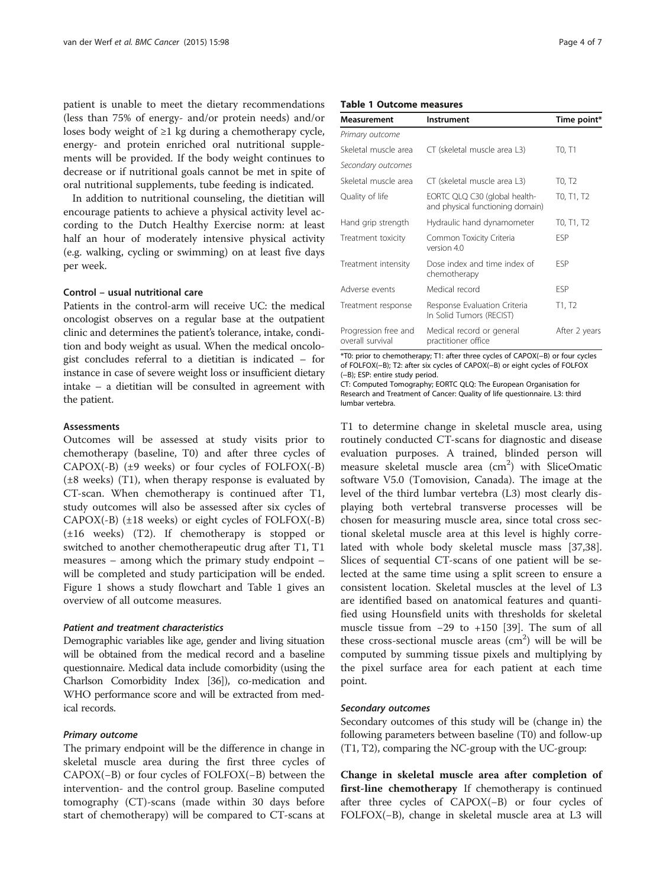patient is unable to meet the dietary recommendations (less than 75% of energy- and/or protein needs) and/or loses body weight of ≥1 kg during a chemotherapy cycle, energy- and protein enriched oral nutritional supplements will be provided. If the body weight continues to decrease or if nutritional goals cannot be met in spite of oral nutritional supplements, tube feeding is indicated.

In addition to nutritional counseling, the dietitian will encourage patients to achieve a physical activity level according to the Dutch Healthy Exercise norm: at least half an hour of moderately intensive physical activity (e.g. walking, cycling or swimming) on at least five days per week.

#### Control – usual nutritional care

Patients in the control-arm will receive UC: the medical oncologist observes on a regular base at the outpatient clinic and determines the patient's tolerance, intake, condition and body weight as usual. When the medical oncologist concludes referral to a dietitian is indicated – for instance in case of severe weight loss or insufficient dietary intake – a dietitian will be consulted in agreement with the patient.

### Assessments

Outcomes will be assessed at study visits prior to chemotherapy (baseline, T0) and after three cycles of  $CAPOX(-B)$  ( $\pm 9$  weeks) or four cycles of FOLFOX(-B) (±8 weeks) (T1), when therapy response is evaluated by CT-scan. When chemotherapy is continued after T1, study outcomes will also be assessed after six cycles of  $CAPOX(-B)$  ( $\pm 18$  weeks) or eight cycles of FOLFOX(-B) (±16 weeks) (T2). If chemotherapy is stopped or switched to another chemotherapeutic drug after T1, T1 measures – among which the primary study endpoint – will be completed and study participation will be ended. Figure [1](#page-2-0) shows a study flowchart and Table 1 gives an overview of all outcome measures.

#### Patient and treatment characteristics

Demographic variables like age, gender and living situation will be obtained from the medical record and a baseline questionnaire. Medical data include comorbidity (using the Charlson Comorbidity Index [\[36\]](#page-6-0)), co-medication and WHO performance score and will be extracted from medical records.

#### Primary outcome

The primary endpoint will be the difference in change in skeletal muscle area during the first three cycles of CAPOX(−B) or four cycles of FOLFOX(−B) between the intervention- and the control group. Baseline computed tomography (CT)-scans (made within 30 days before start of chemotherapy) will be compared to CT-scans at

#### Table 1 Outcome measures

| <b>Measurement</b>                       | Instrument                                                        | Time point*   |
|------------------------------------------|-------------------------------------------------------------------|---------------|
| Primary outcome                          |                                                                   |               |
| Skeletal muscle area                     | CT (skeletal muscle area L3)                                      | T0, T1        |
| Secondary outcomes                       |                                                                   |               |
| Skeletal muscle area                     | CT (skeletal muscle area L3)                                      | T0, T2        |
| Quality of life                          | EORTC QLQ C30 (global health-<br>and physical functioning domain) | TO, T1, T2    |
| Hand grip strength                       | Hydraulic hand dynamometer                                        | TO, T1, T2    |
| Treatment toxicity                       | Common Toxicity Criteria<br>version 4.0                           | <b>FSP</b>    |
| Treatment intensity                      | Dose index and time index of<br>chemotherapy                      | <b>FSP</b>    |
| Adverse events                           | Medical record                                                    | <b>FSP</b>    |
| Treatment response                       | Response Evaluation Criteria<br>In Solid Tumors (RECIST)          | T1, T2        |
| Progression free and<br>overall survival | Medical record or general<br>practitioner office                  | After 2 years |

\*T0: prior to chemotherapy; T1: after three cycles of CAPOX(−B) or four cycles of FOLFOX(−B); T2: after six cycles of CAPOX(−B) or eight cycles of FOLFOX (−B); ESP: entire study period.

CT: Computed Tomography; EORTC QLQ: The European Organisation for Research and Treatment of Cancer: Quality of life questionnaire. L3: third lumbar vertebra.

T1 to determine change in skeletal muscle area, using routinely conducted CT-scans for diagnostic and disease evaluation purposes. A trained, blinded person will measure skeletal muscle area (cm<sup>2</sup>) with SliceOmatic software V5.0 (Tomovision, Canada). The image at the level of the third lumbar vertebra (L3) most clearly displaying both vertebral transverse processes will be chosen for measuring muscle area, since total cross sectional skeletal muscle area at this level is highly correlated with whole body skeletal muscle mass [\[37,38](#page-6-0)]. Slices of sequential CT-scans of one patient will be selected at the same time using a split screen to ensure a consistent location. Skeletal muscles at the level of L3 are identified based on anatomical features and quantified using Hounsfield units with thresholds for skeletal muscle tissue from −29 to +150 [[39\]](#page-6-0). The sum of all these cross-sectional muscle areas  $(cm<sup>2</sup>)$  will be will be computed by summing tissue pixels and multiplying by the pixel surface area for each patient at each time point.

#### Secondary outcomes

Secondary outcomes of this study will be (change in) the following parameters between baseline (T0) and follow-up (T1, T2), comparing the NC-group with the UC-group:

Change in skeletal muscle area after completion of first-line chemotherapy If chemotherapy is continued after three cycles of CAPOX(−B) or four cycles of FOLFOX(−B), change in skeletal muscle area at L3 will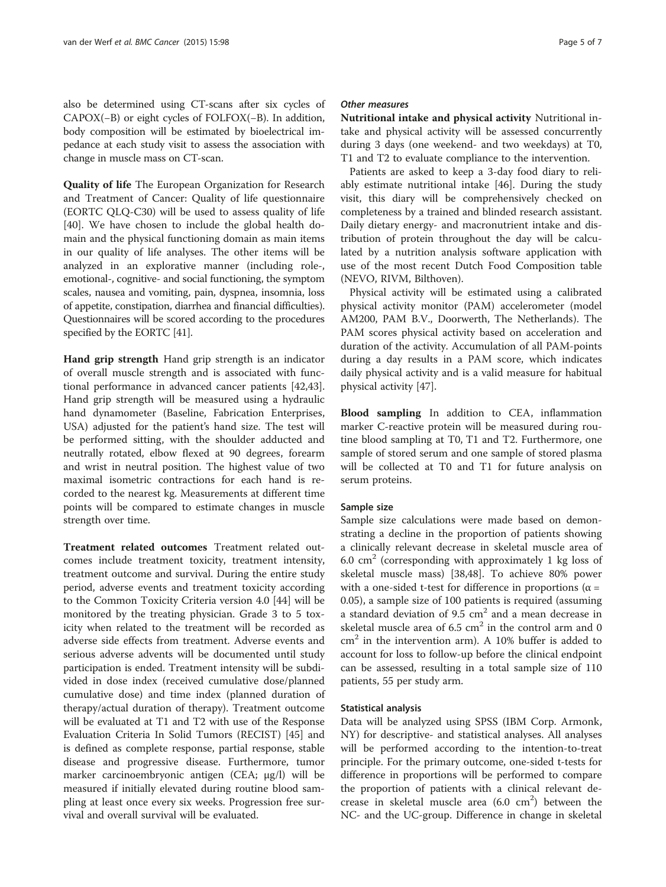also be determined using CT-scans after six cycles of CAPOX(−B) or eight cycles of FOLFOX(−B). In addition, body composition will be estimated by bioelectrical impedance at each study visit to assess the association with change in muscle mass on CT-scan.

Quality of life The European Organization for Research and Treatment of Cancer: Quality of life questionnaire (EORTC QLQ-C30) will be used to assess quality of life [[40\]](#page-6-0). We have chosen to include the global health domain and the physical functioning domain as main items in our quality of life analyses. The other items will be analyzed in an explorative manner (including role-, emotional-, cognitive- and social functioning, the symptom scales, nausea and vomiting, pain, dyspnea, insomnia, loss of appetite, constipation, diarrhea and financial difficulties). Questionnaires will be scored according to the procedures specified by the EORTC [[41](#page-6-0)].

Hand grip strength Hand grip strength is an indicator of overall muscle strength and is associated with functional performance in advanced cancer patients [\[42,43](#page-6-0)]. Hand grip strength will be measured using a hydraulic hand dynamometer (Baseline, Fabrication Enterprises, USA) adjusted for the patient's hand size. The test will be performed sitting, with the shoulder adducted and neutrally rotated, elbow flexed at 90 degrees, forearm and wrist in neutral position. The highest value of two maximal isometric contractions for each hand is recorded to the nearest kg. Measurements at different time points will be compared to estimate changes in muscle strength over time.

Treatment related outcomes Treatment related outcomes include treatment toxicity, treatment intensity, treatment outcome and survival. During the entire study period, adverse events and treatment toxicity according to the Common Toxicity Criteria version 4.0 [\[44](#page-6-0)] will be monitored by the treating physician. Grade 3 to 5 toxicity when related to the treatment will be recorded as adverse side effects from treatment. Adverse events and serious adverse advents will be documented until study participation is ended. Treatment intensity will be subdivided in dose index (received cumulative dose/planned cumulative dose) and time index (planned duration of therapy/actual duration of therapy). Treatment outcome will be evaluated at T1 and T2 with use of the Response Evaluation Criteria In Solid Tumors (RECIST) [[45](#page-6-0)] and is defined as complete response, partial response, stable disease and progressive disease. Furthermore, tumor marker carcinoembryonic antigen (CEA; μg/l) will be measured if initially elevated during routine blood sampling at least once every six weeks. Progression free survival and overall survival will be evaluated.

#### Other measures

Nutritional intake and physical activity Nutritional intake and physical activity will be assessed concurrently during 3 days (one weekend- and two weekdays) at T0, T1 and T2 to evaluate compliance to the intervention.

Patients are asked to keep a 3-day food diary to reliably estimate nutritional intake [[46](#page-6-0)]. During the study visit, this diary will be comprehensively checked on completeness by a trained and blinded research assistant. Daily dietary energy- and macronutrient intake and distribution of protein throughout the day will be calculated by a nutrition analysis software application with use of the most recent Dutch Food Composition table (NEVO, RIVM, Bilthoven).

Physical activity will be estimated using a calibrated physical activity monitor (PAM) accelerometer (model AM200, PAM B.V., Doorwerth, The Netherlands). The PAM scores physical activity based on acceleration and duration of the activity. Accumulation of all PAM-points during a day results in a PAM score, which indicates daily physical activity and is a valid measure for habitual physical activity [[47](#page-6-0)].

Blood sampling In addition to CEA, inflammation marker C-reactive protein will be measured during routine blood sampling at T0, T1 and T2. Furthermore, one sample of stored serum and one sample of stored plasma will be collected at T0 and T1 for future analysis on serum proteins.

# Sample size

Sample size calculations were made based on demonstrating a decline in the proportion of patients showing a clinically relevant decrease in skeletal muscle area of 6.0  $\text{cm}^2$  (corresponding with approximately 1 kg loss of skeletal muscle mass) [\[38,48\]](#page-6-0). To achieve 80% power with a one-sided t-test for difference in proportions ( $\alpha$  = 0.05), a sample size of 100 patients is required (assuming a standard deviation of 9.5  $\text{cm}^2$  and a mean decrease in skeletal muscle area of  $6.5 \text{ cm}^2$  in the control arm and 0  $\text{cm}^2$  in the intervention arm). A 10% buffer is added to account for loss to follow-up before the clinical endpoint can be assessed, resulting in a total sample size of 110 patients, 55 per study arm.

#### Statistical analysis

Data will be analyzed using SPSS (IBM Corp. Armonk, NY) for descriptive- and statistical analyses. All analyses will be performed according to the intention-to-treat principle. For the primary outcome, one-sided t-tests for difference in proportions will be performed to compare the proportion of patients with a clinical relevant decrease in skeletal muscle area  $(6.0 \text{ cm}^2)$  between the NC- and the UC-group. Difference in change in skeletal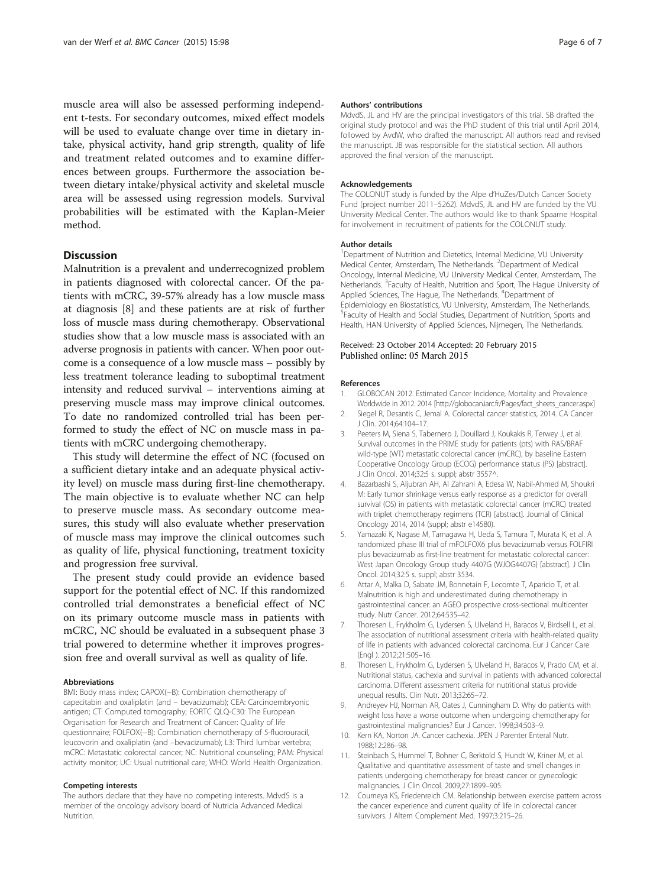<span id="page-5-0"></span>muscle area will also be assessed performing independent t-tests. For secondary outcomes, mixed effect models will be used to evaluate change over time in dietary intake, physical activity, hand grip strength, quality of life and treatment related outcomes and to examine differences between groups. Furthermore the association between dietary intake/physical activity and skeletal muscle area will be assessed using regression models. Survival probabilities will be estimated with the Kaplan-Meier method.

#### Discussion

Malnutrition is a prevalent and underrecognized problem in patients diagnosed with colorectal cancer. Of the patients with mCRC, 39-57% already has a low muscle mass at diagnosis [8] and these patients are at risk of further loss of muscle mass during chemotherapy. Observational studies show that a low muscle mass is associated with an adverse prognosis in patients with cancer. When poor outcome is a consequence of a low muscle mass – possibly by less treatment tolerance leading to suboptimal treatment intensity and reduced survival – interventions aiming at preserving muscle mass may improve clinical outcomes. To date no randomized controlled trial has been performed to study the effect of NC on muscle mass in patients with mCRC undergoing chemotherapy.

This study will determine the effect of NC (focused on a sufficient dietary intake and an adequate physical activity level) on muscle mass during first-line chemotherapy. The main objective is to evaluate whether NC can help to preserve muscle mass. As secondary outcome measures, this study will also evaluate whether preservation of muscle mass may improve the clinical outcomes such as quality of life, physical functioning, treatment toxicity and progression free survival.

The present study could provide an evidence based support for the potential effect of NC. If this randomized controlled trial demonstrates a beneficial effect of NC on its primary outcome muscle mass in patients with mCRC, NC should be evaluated in a subsequent phase 3 trial powered to determine whether it improves progression free and overall survival as well as quality of life.

#### Abbreviations

BMI: Body mass index; CAPOX(−B): Combination chemotherapy of capecitabin and oxaliplatin (and – bevacizumab); CEA: Carcinoembryonic antigen; CT: Computed tomography; EORTC QLQ-C30: The European Organisation for Research and Treatment of Cancer: Quality of life questionnaire; FOLFOX(−B): Combination chemotherapy of 5-fluorouracil, leucovorin and oxaliplatin (and –bevacizumab); L3: Third lumbar vertebra; mCRC: Metastatic colorectal cancer; NC: Nutritional counseling; PAM: Physical activity monitor; UC: Usual nutritional care; WHO: World Health Organization.

#### Competing interests

The authors declare that they have no competing interests. MdvdS is a member of the oncology advisory board of Nutricia Advanced Medical Nutrition.

#### Authors' contributions

MdvdS, JL and HV are the principal investigators of this trial. SB drafted the original study protocol and was the PhD student of this trial until April 2014, followed by AvdW, who drafted the manuscript. All authors read and revised the manuscript. JB was responsible for the statistical section. All authors approved the final version of the manuscript.

#### Acknowledgements

The COLONUT study is funded by the Alpe d'HuZes/Dutch Cancer Society Fund (project number 2011–5262). MdvdS, JL and HV are funded by the VU University Medical Center. The authors would like to thank Spaarne Hospital for involvement in recruitment of patients for the COLONUT study.

#### Author details

<sup>1</sup>Department of Nutrition and Dietetics, Internal Medicine, VU University Medical Center, Amsterdam, The Netherlands. <sup>2</sup>Department of Medical Oncology, Internal Medicine, VU University Medical Center, Amsterdam, The Netherlands. <sup>3</sup>Faculty of Health, Nutrition and Sport, The Hague University of Applied Sciences, The Hague, The Netherlands. <sup>4</sup>Department of Epidemiology en Biostatistics, VU University, Amsterdam, The Netherlands. 5 Faculty of Health and Social Studies, Department of Nutrition, Sports and Health, HAN University of Applied Sciences, Nijmegen, The Netherlands.

#### Received: 23 October 2014 Accepted: 20 February 2015 Published online: 05 March 2015

#### References

- 1. GLOBOCAN 2012. Estimated Cancer Incidence, Mortality and Prevalence Worldwide in 2012. 2014 [\[http://globocan.iarc.fr/Pages/fact\\_sheets\\_cancer.aspx](http://globocan.iarc.fr/Pages/fact_sheets_cancer.aspx)]
- 2. Siegel R, Desantis C, Jemal A. Colorectal cancer statistics, 2014. CA Cancer J Clin. 2014;64:104–17.
- 3. Peeters M, Siena S, Tabernero J, Douillard J, Koukakis R, Terwey J, et al. Survival outcomes in the PRIME study for patients (pts) with RAS/BRAF wild-type (WT) metastatic colorectal cancer (mCRC), by baseline Eastern Cooperative Oncology Group (ECOG) performance status (PS) [abstract]. J Clin Oncol. 2014;32:5 s. suppl; abstr 3557^.
- 4. Bazarbashi S, Aljubran AH, Al Zahrani A, Edesa W, Nabil-Ahmed M, Shoukri M: Early tumor shrinkage versus early response as a predictor for overall survival (OS) in patients with metastatic colorectal cancer (mCRC) treated with triplet chemotherapy regimens (TCR) [abstract]. Journal of Clinical Oncology 2014, 2014 (suppl; abstr e14580).
- 5. Yamazaki K, Nagase M, Tamagawa H, Ueda S, Tamura T, Murata K, et al. A randomized phase III trial of mFOLFOX6 plus bevacizumab versus FOLFIRI plus bevacizumab as first-line treatment for metastatic colorectal cancer: West Japan Oncology Group study 4407G (WJOG4407G) [abstract]. J Clin Oncol. 2014;32:5 s. suppl; abstr 3534.
- 6. Attar A, Malka D, Sabate JM, Bonnetain F, Lecomte T, Aparicio T, et al. Malnutrition is high and underestimated during chemotherapy in gastrointestinal cancer: an AGEO prospective cross-sectional multicenter study. Nutr Cancer. 2012;64:535–42.
- 7. Thoresen L, Frykholm G, Lydersen S, Ulveland H, Baracos V, Birdsell L, et al. The association of nutritional assessment criteria with health-related quality of life in patients with advanced colorectal carcinoma. Eur J Cancer Care (Engl ). 2012;21:505–16.
- 8. Thoresen L, Frykholm G, Lydersen S, Ulveland H, Baracos V, Prado CM, et al. Nutritional status, cachexia and survival in patients with advanced colorectal carcinoma. Different assessment criteria for nutritional status provide unequal results. Clin Nutr. 2013;32:65–72.
- 9. Andreyev HJ, Norman AR, Oates J, Cunningham D. Why do patients with weight loss have a worse outcome when undergoing chemotherapy for gastrointestinal malignancies? Eur J Cancer. 1998;34:503–9.
- 10. Kern KA, Norton JA. Cancer cachexia. JPEN J Parenter Enteral Nutr. 1988;12:286–98.
- 11. Steinbach S, Hummel T, Bohner C, Berktold S, Hundt W, Kriner M, et al. Qualitative and quantitative assessment of taste and smell changes in patients undergoing chemotherapy for breast cancer or gynecologic malignancies. J Clin Oncol. 2009;27:1899–905.
- 12. Courneya KS, Friedenreich CM. Relationship between exercise pattern across the cancer experience and current quality of life in colorectal cancer survivors. J Altern Complement Med. 1997;3:215–26.